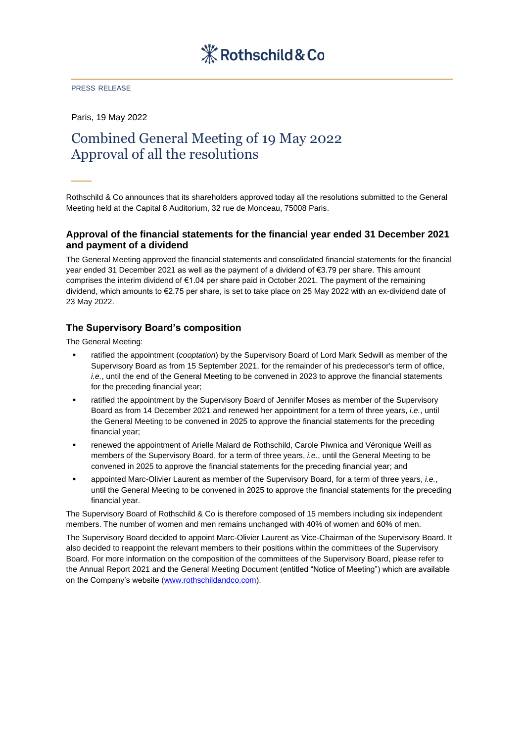#### PRESS RELEASE

Paris, 19 May 2022

# Combined General Meeting of 19 May 2022 Approval of all the resolutions

Rothschild & Co announces that its shareholders approved today all the resolutions submitted to the General Meeting held at the Capital 8 Auditorium, 32 rue de Monceau, 75008 Paris.

## **Approval of the financial statements for the financial year ended 31 December 2021 and payment of a dividend**

The General Meeting approved the financial statements and consolidated financial statements for the financial year ended 31 December 2021 as well as the payment of a dividend of €3.79 per share. This amount comprises the interim dividend of €1.04 per share paid in October 2021. The payment of the remaining dividend, which amounts to €2.75 per share, is set to take place on 25 May 2022 with an ex-dividend date of 23 May 2022.

# **The Supervisory Board's composition**

The General Meeting:

- ratified the appointment (*cooptation*) by the Supervisory Board of Lord Mark Sedwill as member of the Supervisory Board as from 15 September 2021, for the remainder of his predecessor's term of office, *i.e.*, until the end of the General Meeting to be convened in 2023 to approve the financial statements for the preceding financial year;
- ratified the appointment by the Supervisory Board of Jennifer Moses as member of the Supervisory Board as from 14 December 2021 and renewed her appointment for a term of three years, *i.e.*, until the General Meeting to be convened in 2025 to approve the financial statements for the preceding financial year;
- renewed the appointment of Arielle Malard de Rothschild, Carole Piwnica and Véronique Weill as members of the Supervisory Board, for a term of three years, *i.e.*, until the General Meeting to be convened in 2025 to approve the financial statements for the preceding financial year; and
- appointed Marc-Olivier Laurent as member of the Supervisory Board, for a term of three years, *i.e.*, until the General Meeting to be convened in 2025 to approve the financial statements for the preceding financial year.

The Supervisory Board of Rothschild & Co is therefore composed of 15 members including six independent members. The number of women and men remains unchanged with 40% of women and 60% of men.

The Supervisory Board decided to appoint Marc-Olivier Laurent as Vice-Chairman of the Supervisory Board. It also decided to reappoint the relevant members to their positions within the committees of the Supervisory Board. For more information on the composition of the committees of the Supervisory Board, please refer to the Annual Report 2021 and the General Meeting Document (entitled "Notice of Meeting") which are available on the Company's website [\(www.rothschildandco.com\)](http://www.rothschildandco.com/).